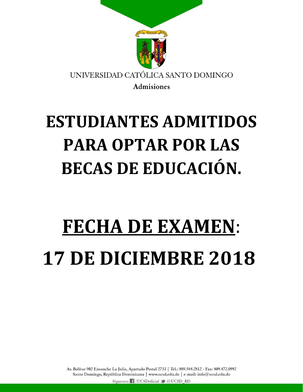

## **ESTUDIANTES ADMITIDOS PARA OPTAR POR LAS BECAS DE EDUCACIÓN.**

## **FECHA DE EXAMEN**: **17 DE DICIEMBRE 2018**

Av. Bolívar 902 Ensanche La Julia, Apartado Postal 2733 | Tel.: 809.544.2812 - Fax: 809.472.0992 Santo Domingo, República Dominicana | www.ucsd.edu.do | e-mail: info@ucsd.edu.do Síguenos: f /UCSDoficial > @UCSD\_RD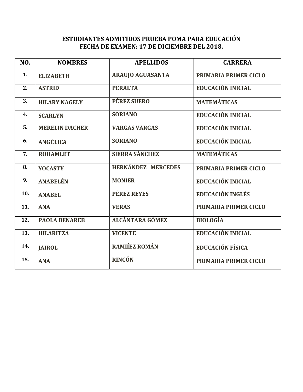## **ESTUDIANTES ADMITIDOS PRUEBA POMA PARA EDUCACIÓN FECHA DE EXAMEN: 17 DE DICIEMBRE DEL 2018.**

| NO. | <b>NOMBRES</b>        | <b>APELLIDOS</b>          | <b>CARRERA</b>           |
|-----|-----------------------|---------------------------|--------------------------|
| 1.  | <b>ELIZABETH</b>      | <b>ARAUJO AGUASANTA</b>   | PRIMARIA PRIMER CICLO    |
| 2.  | <b>ASTRID</b>         | <b>PERALTA</b>            | <b>EDUCACIÓN INICIAL</b> |
| 3.  | <b>HILARY NAGELY</b>  | <b>PÉREZ SUERO</b>        | <b>MATEMÁTICAS</b>       |
| 4.  | <b>SCARLYN</b>        | <b>SORIANO</b>            | <b>EDUCACIÓN INICIAL</b> |
| 5.  | <b>MERELIN DACHER</b> | <b>VARGAS VARGAS</b>      | EDUCACIÓN INICIAL        |
| 6.  | ANGÉLICA              | <b>SORIANO</b>            | EDUCACIÓN INICIAL        |
| 7.  | <b>ROHAMLET</b>       | <b>SIERRA SÁNCHEZ</b>     | <b>MATEMÁTICAS</b>       |
| 8.  | <b>YOCASTY</b>        | <b>HERNÁNDEZ MERCEDES</b> | PRIMARIA PRIMER CICLO    |
| 9.  | <b>ANABELÉN</b>       | <b>MONIER</b>             | <b>EDUCACIÓN INICIAL</b> |
| 10. | <b>ANABEL</b>         | <b>PÉREZ REYES</b>        | <b>EDUCACIÓN INGLÉS</b>  |
| 11. | <b>ANA</b>            | <b>VERAS</b>              | PRIMARIA PRIMER CICLO    |
| 12. | <b>PAOLA BENAREB</b>  | <b>ALCÁNTARA GÓMEZ</b>    | <b>BIOLOGÍA</b>          |
| 13. | <b>HILARITZA</b>      | <b>VICENTE</b>            | <b>EDUCACIÓN INICIAL</b> |
| 14. | <b>JAIROL</b>         | RAMIÍEZ ROMÁN             | <b>EDUCACIÓN FÍSICA</b>  |
| 15. | <b>ANA</b>            | <b>RINCÓN</b>             | PRIMARIA PRIMER CICLO    |